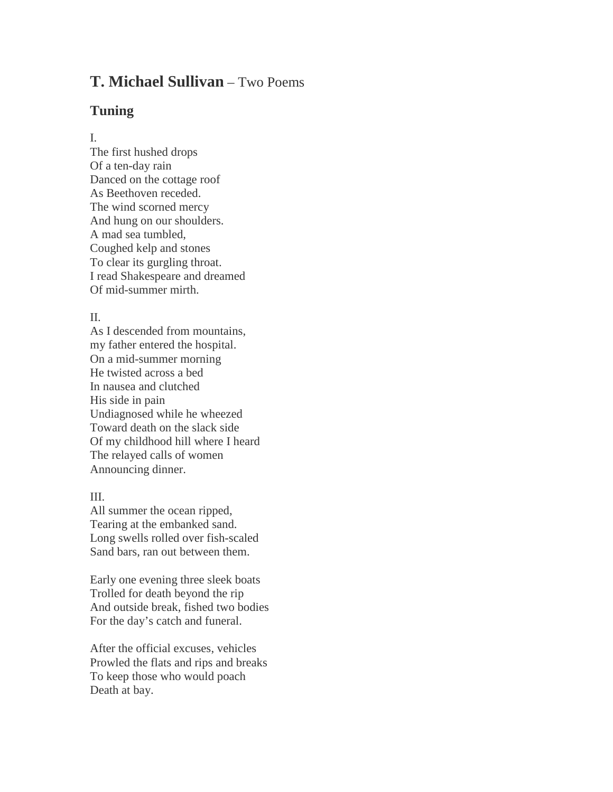# **T. Michael Sullivan** – Two Poems

### **Tuning**

#### I.

The first hushed drops Of a ten-day rain Danced on the cottage roof As Beethoven receded. The wind scorned mercy And hung on our shoulders. A mad sea tumbled, Coughed kelp and stones To clear its gurgling throat. I read Shakespeare and dreamed Of mid-summer mirth.

#### II.

As I descended from mountains, my father entered the hospital. On a mid-summer morning He twisted across a bed In nausea and clutched His side in pain Undiagnosed while he wheezed Toward death on the slack side Of my childhood hill where I heard The relayed calls of women Announcing dinner.

### III.

All summer the ocean ripped, Tearing at the embanked sand. Long swells rolled over fish-scaled Sand bars, ran out between them.

Early one evening three sleek boats Trolled for death beyond the rip And outside break, fished two bodies For the day's catch and funeral.

After the official excuses, vehicles Prowled the flats and rips and breaks To keep those who would poach Death at bay.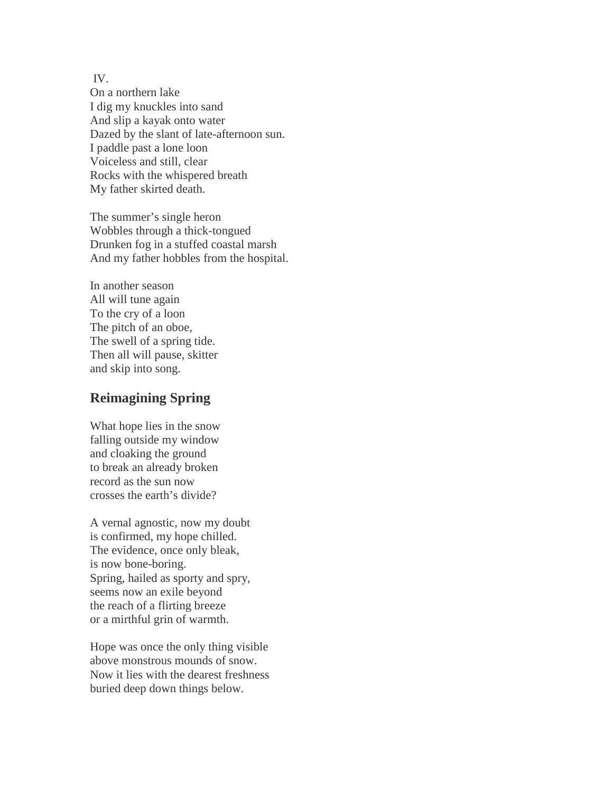IV.

On a northern lake I dig my knuckles into sand And slip a kayak onto water Dazed by the slant of late-afternoon sun. I paddle past a lone loon Voiceless and still, clear Rocks with the whispered breath My father skirted death.

The summer's single heron Wobbles through a thick-tongued Drunken fog in a stuffed coastal marsh And my father hobbles from the hospital.

In another season All will tune again To the cry of a loon The pitch of an oboe, The swell of a spring tide. Then all will pause, skitter and skip into song.

## **Reimagining Spring**

What hope lies in the snow falling outside my window and cloaking the ground to break an already broken record as the sun now crosses the earth's divide?

A vernal agnostic, now my doubt is confirmed, my hope chilled. The evidence, once only bleak, is now bone-boring. Spring, hailed as sporty and spry, seems now an exile beyond the reach of a flirting breeze or a mirthful grin of warmth.

Hope was once the only thing visible above monstrous mounds of snow. Now it lies with the dearest freshness buried deep down things below.